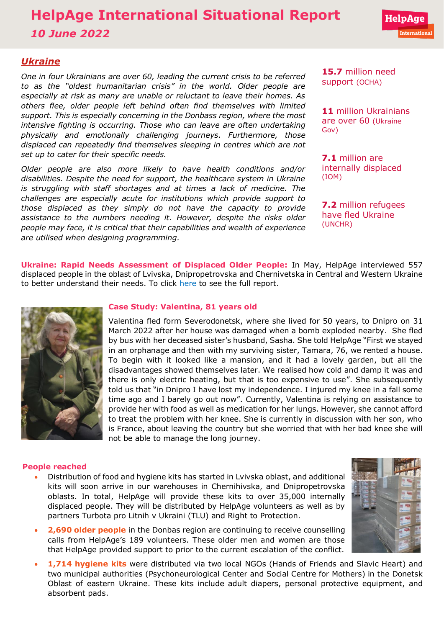# **HelpAge International Situational Report** *10 June 2022*

# *Ukraine*

*One in four Ukrainians are over 60, leading the current crisis to be referred to as the "[oldest humanitarian crisis](https://www.age-platform.eu/special-briefing/ukraine-%E2%80%98oldest%E2%80%99-humanitarian-crisis-world)" in the world. Older people are especially at risk as many are unable or reluctant to leave their homes. As others flee, older people left behind often find themselves with limited support. This is especially concerning in the Donbass region, where the most intensive fighting is occurring. Those who can leave are often undertaking physically and emotionally challenging journeys. Furthermore, those displaced can repeatedly find themselves sleeping in centres which are not set up to cater for their specific needs.* 

*Older people are also more likely to have health conditions and/or disabilities. Despite the need for support, the healthcare system in Ukraine is struggling with staff shortages and at times a lack of medicine. The challenges are especially acute for institutions which provide support to those displaced as they simply do not have the capacity to provide assistance to the numbers needing it. However, despite the risks older people may face, it is critical that their capabilities and wealth of experience are utilised when designing programming.* 

**15.7** million need support [\(OCHA\)](https://reliefweb.int/sites/reliefweb.int/files/resources/Ukraine%20Flash%20Appeal%202022%20April%20Revision_EN_v1.0.pdf)

**11** million Ukrainians are over 60 [\(Ukraine](http://database.ukrcensus.gov.ua/PXWEB2007/ukr/publ_new1/2021/dem_2020.pdf)  [Gov\)](http://database.ukrcensus.gov.ua/PXWEB2007/ukr/publ_new1/2021/dem_2020.pdf)

**7.1** million are internally displaced [\(IOM\)](https://www.impact-repository.org/document/reach/7a10aa5a/Inter_Agency_Ukraine_IDP_Situation_Overview_20April2022.pdf)

**7.2** million refugees have fled Ukraine [\(UNCHR\)](https://data2.unhcr.org/en/situations/ukraine)

**Ukraine: Rapid Needs Assessment of Displaced Older People:** In May, HelpAge interviewed 557 displaced people in the oblast of Lvivska, Dnipropetrovska and Chernivetska in Central and Western Ukraine to better understand their needs. To click [here](https://reliefweb.int/report/ukraine/ukraine-rapid-needs-assessment-displaced-older-people-lvivska-chernivetska-and-dnipropetrovska-oblasts-3-june-2022) to see the full report.



# **Case Study: Valentina, 81 years old**

Valentina fled form Severodonetsk, where she lived for 50 years, to Dnipro on 31 March 2022 after her house was damaged when a bomb exploded nearby. She fled by bus with her deceased sister's husband, Sasha. She told HelpAge "First we stayed in an orphanage and then with my surviving sister, Tamara, 76, we rented a house. To begin with it looked like a mansion, and it had a lovely garden, but all the disadvantages showed themselves later. We realised how cold and damp it was and there is only electric heating, but that is too expensive to use". She subsequently told us that "in Dnipro I have lost my independence. I injured my knee in a fall some time ago and I barely go out now". Currently, Valentina is relying on assistance to provide her with food as well as medication for her lungs. However, she cannot afford to treat the problem with her knee. She is currently in discussion with her son, who is France, about leaving the country but she worried that with her bad knee she will not be able to manage the long journey.

# **People reached**

- Distribution of food and hygiene kits has started in Lvivska oblast, and additional kits will soon arrive in our warehouses in Chernihivska, and Dnipropetrovska oblasts. In total, HelpAge will provide these kits to over 35,000 internally displaced people. They will be distributed by HelpAge volunteers as well as by partners Turbota pro Litnih v Ukraini (TLU) and Right to Protection.
- **2,690 older people** in the Donbas region are continuing to receive counselling calls from HelpAge's 189 volunteers. These older men and women are those that HelpAge provided support to prior to the current escalation of the conflict.
- **1,714 hygiene kits** were distributed via two local NGOs (Hands of Friends and Slavic Heart) and two municipal authorities (Psychoneurological Center and Social Centre for Mothers) in the Donetsk Oblast of eastern Ukraine. These kits include adult diapers, personal protective equipment, and absorbent pads.

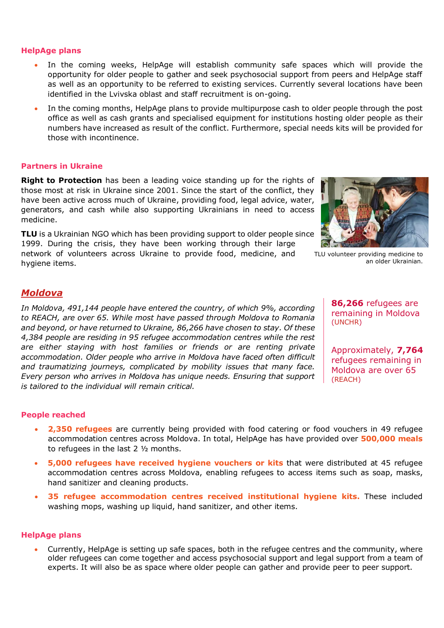#### **HelpAge plans**

- In the coming weeks, HelpAge will establish community safe spaces which will provide the opportunity for older people to gather and seek psychosocial support from peers and HelpAge staff as well as an opportunity to be referred to existing services. Currently several locations have been identified in the Lvivska oblast and staff recruitment is on-going.
- In the coming months, HelpAge plans to provide multipurpose cash to older people through the post office as well as cash grants and specialised equipment for institutions hosting older people as their numbers have increased as result of the conflict. Furthermore, special needs kits will be provided for those with incontinence.

#### **Partners in Ukraine**

**[Right to Protection](https://r2p.org.ua/)** has been a leading voice standing up for the rights of those most at risk in Ukraine since 2001. Since the start of the conflict, they have been active across much of Ukraine, providing food, legal advice, water, generators, and cash while also supporting Ukrainians in need to access medicine.

**[TLU](http://www.tlu.org.ua/)** is a Ukrainian NGO which has been providing support to older people since 1999. During the crisis, they have been working through their large

network of volunteers across Ukraine to provide food, medicine, and hygiene items.



TLU volunteer providing medicine to an older Ukrainian.

# *Moldova*

*In Moldova, [491,144](https://data.unhcr.org/en/situations/ukraine/location/10784) people have entered the country, of which [9%,](https://data2.unhcr.org/en/documents/details/92088) according to [REACH,](https://data2.unhcr.org/en/documents/details/92429) are over 65. While most have passed through Moldova to Romania and beyond, or have returned to Ukraine, [86,266](https://data2.unhcr.org/en/documents/details/92774) have chosen to stay. Of these [4,384 p](https://www.impact-repository.org/document/reach/9a15586a/REACH_MDA_Factsheet_RAC-Weekly-Needs-Monitoring_2022-04-27_EN.pdf)eople are residing in 95 refugee accommodation centres while the rest are either staying with host families or friends or are renting private accommodation. Older people who arrive in Moldova have faced often difficult and traumatizing journeys, complicated by mobility issues that many face. Every person who arrives in Moldova has unique needs. Ensuring that support is tailored to the individual will remain critical.* 

**86,266** refugees are remaining in Moldova [\(UNCHR\)](https://data.unhcr.org/en/situations/ukraine/location/10784)

Approximately, **7,764** refugees remaining in Moldova are over 65 [\(REACH\)](https://data2.unhcr.org/en/documents/details/92429)

# **People reached**

- **2,350 refugees** are currently being provided with food catering or food vouchers in 49 refugee accommodation centres across Moldova. In total, HelpAge has have provided over **500,000 meals** to refugees in the last 2 ½ months.
- **5,000 refugees have received hygiene vouchers or kits** that were distributed at 45 refugee accommodation centres across Moldova, enabling refugees to access items such as soap, masks, hand sanitizer and cleaning products.
- **35 refugee accommodation centres received institutional hygiene kits.** These included washing mops, washing up liquid, hand sanitizer, and other items.

#### **HelpAge plans**

• Currently, HelpAge is setting up safe spaces, both in the refugee centres and the community, where older refugees can come together and access psychosocial support and legal support from a team of experts. It will also be as space where older people can gather and provide peer to peer support.